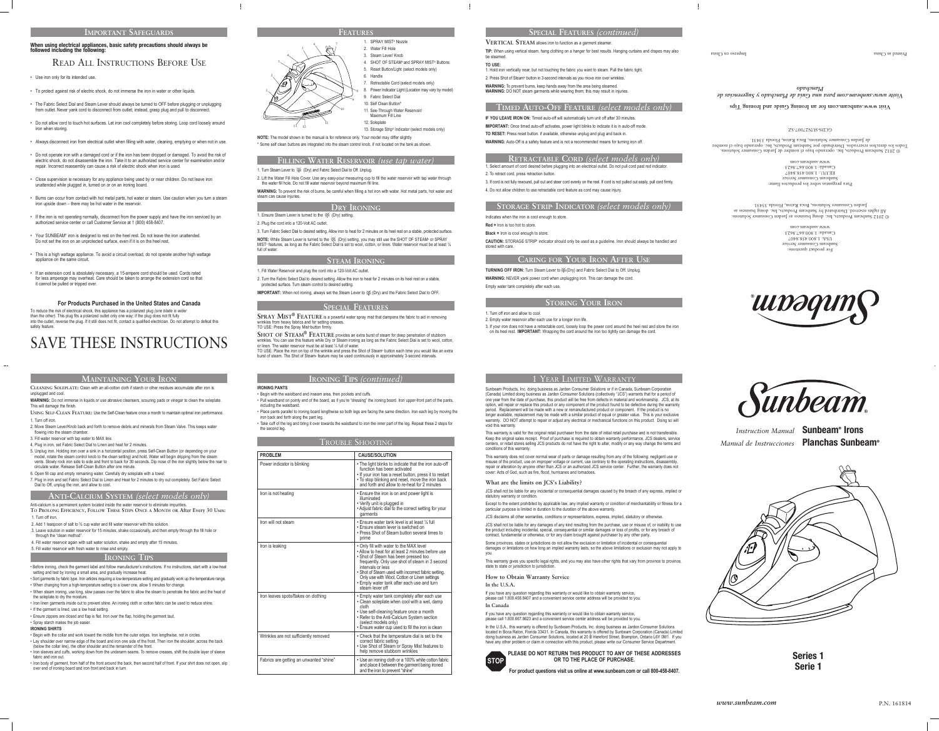*Instruction Manual* **Sunbeam® Irons** *Manual de Instrucciones* **Planchas Sunbeam®**



### **Important Safeguards**

**When using electrical appliances, basic safety precautions should always be followed including the following:**

# Read All Instructions Before Use

- Use iron only for its intended use.
- To protect against risk of electric shock, do not immerse the iron in water or other liquids.
- The Fabric Select Dial and Steam Lever should always be turned to OFF before plugging or unplugging from outlet. Never yank cord to disconnect from outlet; instead, grasp plug and pull to disconnect.
- Do not allow cord to touch hot surfaces. Let iron cool completely before storing. Loop cord loosely around iron when storing.
- Always disconnect iron from electrical outlet when filling with water, cleaning, emptying or when not in use.
- Do not operate iron with a damaged cord or if the iron has been dropped or damaged. To avoid the risk of electric shock, do not disassemble the iron. Take it to an authorized service center for examination and/or repair. Incorrect reassembly can cause a risk of electric shock when iron is used.
- Close supervision is necessary for any appliance being used by or near children. Do not leave iron unattended while plugged in, turned on or on an ironing board.
- • Burns can occur from contact with hot metal parts, hot water or steam. Use caution when you turn a steam iron upside down – there may be hot water in the reservoir.
- If the iron is not operating normally, disconnect from the power supply and have the iron serviced by an authorized service center or call Customer Service at 1 (800) 458-8407.
- Your SUNBEAM® iron is designed to rest on the heel rest. Do not leave the iron unattended. Do not set the iron on an unprotected surface, even if it is on the heel rest.
- This is a high wattage appliance. To avoid a circuit overload, do not operate another high wattage appliance on the same circuit.
- If an extension cord is absolutely necessary, a 15-ampere cord should be used. Cords rated for less amperage may overheat. Care should be taken to arrange the extension cord so that it cannot be pulled or tripped over.

**For Products Purchased in the United States and Canada** To reduce the risk of electrical shock, this appliance has a polarized plug *(one blade is wider than the other)*. This plug fits a polarized outlet only one way; if the plug does not fit fully into the outlet, reverse the plug. If it still does not fit, contact a qualified electrician. Do not attempt to defeat this

safety feature.

# SAVE THESE INSTRUCTIONS

### 1 Year Limited Warranty

This warranty gives you specific legal rights, and you may also have other rights that vary from province to province, state to state or jurisdiction to jurisdictio

Sunbeam Products, Inc. doing business as Jarden Consumer Solutions or if in Canada, Sunbeam Corporation (Canada) Limited doing business as Jarden Consumer Solutions (collectively "JCS") warrants that for a period of one year from the date of purchase, this product will be free from defects in material and workmanship. JCS, at its option, will repair or replace this product or any component of the product found to be defective during the warranty period. Replacement will be made with a new or remanufactured product or component. If the product is no longer available, replacement may be made with a similar product of equal or greater value. This is your exclusive warranty. DO NOT attempt to repair or adjust any electrical or mechanical functions on this product. Doing so will

void this warranty.

This warranty is valid for the original retail purchaser from the date of initial retail purchase and is not transferable. Keep the original sales receipt. Proof of purchase is required to obtain warranty performance. JCS dealers, service centers, or retail stores selling JCS products do not have the right to alter, modify or any way change the terms and conditions of this warranty.

This warranty does not cover normal wear of parts or damage resulting from any of the following: negligent use or misuse of the product, use on improper voltage or current, use contrary to the operating instructions, disassembly, repair or alteration by anyone other than JCS or an authorized JCS service center. Further, the warranty does not cover: Acts of God, such as fire, flood, hurricanes and tornadoes.

#### **What are the limits on JCS's Liability?**

JCS shall not be liable for any incidental or consequential damages caused by the breach of any express, implied or statutory warranty or condition.

Except to the extent prohibited by applicable law, any implied warranty or condition of merchantability or fitness for a particular purpose is limited in duration to the duration of the above warranty.

13. Storage Strip® Indicator (select models only)  $\begin{array}{c|c}\n13 & 12\n\end{array}$  11

> JCS disclaims all other warranties, conditions or representations, express, implied, statutory or otherwise. JCS shall not be liable for any damages of any kind resulting from the purchase, use or misuse of, or inability to use

**WARNING:** To prevent the risk of burns, be careful when filling a hot iron with water. Hot metal parts, hot water and steam can cause injuries.

the product including incidental, special, consequential or similar damages or loss of profits, or for any breach of contract, fundamental or otherwise, or for any claim brought against purchaser by any other party.

Some provinces, states or jurisdictions do not allow the exclusion or limitation of incidental or consequential damages or limitations on how long an implied warranty lasts, so the above limitations or exclusion may not apply to

you.

**How to Obtain Warranty Service**

**In the U.S.A.**

SHOT OF STEAM<sup>®</sup> FEATURE provides an extra burst of steam for deep penetration of stubborn wrinkles. You can use this feature while Dry or Steam ironing as long as the Fabric Select Dial is set to wool, cotton,

TO USE: Place the iron on top of the wrinkle and press the Shot of Steam® button each time you would like an extra burst of steam. The Shot of Steam® feature may be used continuously in approximately 3-second intervals.

> If you have any question regarding this warranty or would like to obtain warranty service, please call 1.800.458.8407 and a convenient service center address will be provided to you.

**In Canada**

**STOP** 

If you have any question regarding this warranty or would like to obtain warranty service, please call 1.800.667.8623 and a convenient service center address will be provided to you.

In the U.S.A., this warranty is offered by Sunbeam Products, Inc. doing business as Jarden Consumer Solutions located in Boca Raton, Florida 33431. In Canada, this warranty is offered by Sunbeam Corporation (Canada) Limited doing business as Jarden Consumer Solutions, located at 20 B Hereford Street, Brampton, Ontario L6Y 0M1. If you have any other problem or claim in connection with this product, please write our Consumer Service Department.

> **PLEASE DO NOT RETURN THIS PRODUCT TO ANY OF THESE ADDRESSES OR TO THE PLACE OF PURCHASE.**

**For product questions visit us online at www.sunbeam.com or call 800-458-8407.**

Impreso en China Printed in China Printed in China Printed in China Printed in China Printed in China Printed in China Printed in China Printed in China Printed in China Printed in China Printed in China Printed in China P

#### **Ironing Tips** *(continued)*

#### **IRONING PANTS**

- • Begin with the waistband and inseam area, then pockets and cuffs. • Pull waistband on pointy end of the board, as if you're "dressing" the ironing board. Iron upper-front part of the pants,
- including the waistband. • Place pants parallel to ironing board lengthwise so both legs are facing the same direction. Iron each leg by moving the
- iron back and forth along the pant leg. • Take cuff of the leg and bring it over towards the waistband to iron the inner part of the leg. Repeat these 2 steps for

WARNING: Do not immerse in liquids or use abrasive cleansers, scouring pads or vinegar to clean the soleplate. This will damage the finish.

# the second leg.

# Trouble Shooting

- 2. Add 1 teaspoon of salt to  $\frac{3}{4}$  cup water and fill water reservoir with this solution.
- 3. Leave solution in water reservoir for 15 minutes, shake occasionally, and then empty through the fill hole or through the "clean method".
- 4. Fill water reservoir again with salt water solution, shake and empty after 15 minutes.
- 5. Fill water reservoir with fresh water to rinse and empty.

| <b>PROBLEM</b>                          | <b>CAUSE/SOLUTION</b>                                                                                                                                                                                                                                                                                                                                                               |
|-----------------------------------------|-------------------------------------------------------------------------------------------------------------------------------------------------------------------------------------------------------------------------------------------------------------------------------------------------------------------------------------------------------------------------------------|
| Power indicator is blinking             | • The light blinks to indicate that the iron auto-off<br>function has been activated<br>. If your iron has a reset button, press it to restart<br>. To stop blinking and reset, move the iron back<br>and forth and allow to re-heat for 2 minutes                                                                                                                                  |
| Iron is not heating                     | . Ensure the iron is on and power light is<br>illuminated<br>• Verify unit is plugged in<br>• Adjust fabric dial to the correct setting for your<br>garments                                                                                                                                                                                                                        |
| Iron will not steam                     | • Ensure water tank level is at least 1/4 full<br>• Ensure steam lever is switched on<br>• Press Shot of Steam button several times to<br>prime                                                                                                                                                                                                                                     |
| Iron is leaking                         | • Only fill with water to the MAX level<br>• Allow to heat for at least 2 minutes before use<br>• Shot of Steam has been pressed too<br>frequently. Only use shot of steam in 3 second<br>intervals or less<br>• Shot of Steam used with incorrect fabric setting.<br>Only use with Wool, Cotton or Linen settings<br>• Empty water tank after each use and turn<br>steam lever off |
| Iron leaves spots/flakes on clothing    | • Empty water tank completely after each use<br>· Clean soleplate when cool with a wet, damp<br>cloth<br>• Use self-cleaning feature once a month<br>• Refer to the Anti-Calcium System section<br>(select models only)<br>• Ensure water cup used to fill the iron is clean                                                                                                        |
| Wrinkles are not sufficiently removed   | • Check that the temperature dial is set to the<br>correct fabric setting<br>• Use Shot of Steam or Spray Mist features to<br>help remove stubborn wrinkles                                                                                                                                                                                                                         |
| Fabrics are getting an unwanted "shine" | • Use an ironing cloth or a 100% white cotton fabric<br>and place it between the garment being ironed<br>and the iron to prevent "shine"                                                                                                                                                                                                                                            |

- Begin with the collar and work toward the middle from the outer edges. Iron lengthwise, not in circles. • Lay shoulder over narrow edge of the board and iron one side of the front. Then iron the shoulder, across the back
- (below the collar line), the other shoulder and the remainder of the front. • Iron sleeves and cuffs, working down from the underarm seams. To remove creases, shift the double layer of sleeve
- fabric and iron out. • Iron body of garment, from half of the front around the back, then second half of front. If your shirt does not open, slip
- over end of ironing board and iron front and back in turn.
- 8. Power Indicator Light (Location may vary by model)
	-
- 
- 12. Soleplate
- 

### 1. Turn Steam Lever to  $\frac{1}{2}$  (Dry) and Fabric Select Dial to Off. Unplug.

**NOTE:** The model shown in the manual is for reference only. Your model may differ slightly \* Some self clean buttons are integrated into the steam control knob, if not located on the tank as shown.

# **Filling Water Reservoir** *(use tap water)*

2. Lift the Water Fill Hole Cover. Use any easy-pour measuring cup to fill the water reservoir with tap water through the water fill hole. Do not fill water reservoir beyond maximum fill line.

| $D_{R}$ | Y IRONIN |
|---------|----------|
|         |          |

1. Ensure Steam Lever is turned to the (Dry) setting.

2. Plug the cord into a 120-Volt AC outlet.

3. Turn Fabric Select Dial to desired setting. Allow iron to heat for 2 minutes on its heel rest on a stable, protected surface. **NOTE:** While Steam Lever is turned to the <a>
(Dry) setting, you may still use the SHOT OF STEAM® or SPRAY MIST® features, as long as the Fabric Select Dial is set to wool, cotton, or linen. Water reservoir must be at least 1/4 full of water.

## **Steam Ironing**

1. Fill Water Reservoir and plug the cord into a 120-Volt AC outlet.

2. Turn the Fabric Select Dial to desired setting. Allow the iron to heat for 2 minutes on its heel rest on a stable,

protected surface. Turn steam control to desired setting.

**IMPORTANT:** When not ironing, always set the Steam Lever to  $\frac{2}{N}$  (Dry) and the Fabric Select Dial to OFF.

#### **Special Features**

SPRAY MIST<sup>®</sup> FEATURE is a powerful water spray mist that dampens the fabric to aid in removing wrinkles from heavy fabrics and for setting creases. TO USE: Press the Spray Mist® button firmly.

or linen. The water reservoir must be at least ¼ full of water.

### **Special Features** *(continued)*

**VERTICAL STEAM** allows iron to function as a garment steamer.

**TIP:** When using vertical steam, hang clothing on a hanger for best results. Hanging curtains and drapes may also

be steamed. **TO USE:**

1. Hold iron vertically near, but not touching the fabric you want to steam. Pull the fabric tight.

2. Press Shot of Steam® button in 3-second intervals as you move iron over wrinkles.

**WARNING:** To prevent burns, keep hands away from the area being steamed. **WARNING:** DO NOT steam garments while wearing them; this may result in injuries.

### **Timed Auto-Off Feature** *(select models only)*

**IF YOU LEAVE IRON ON:** Timed auto-off will automatically turn unit off after 30 minutes. **IMPORTANT:** Once timed auto-off activates, power light blinks to indicate it is in auto-off mode.

**TO RESET:** Press reset button. if available, otherwise unplug and plug and back in.

**WARNING:** Auto-Off is a safety feature and is not a recommended means for turning iron off.

### **Retractable Cord** *(select models only)*

1. Select amount of cord desired before plugging into an electrical outlet. Do not pull cord past red indicator. 2. To retract cord, press retraction button.

3. If cord is not fully rewound, pull out and steer cord evenly on the reel. If cord is not pulled out easily, pull cord firmly. 4. Do not allow children to use retractable cord feature as cord may cause injury.

# **Storage Strip® Indicator** *(select models only)*

Indicates when the iron is cool enough to store.

**Red =** Iron is too hot to store.

**Black =** Iron is cool enough to store.



**CAUTION:** STORAGE STRIP**®** indicator should only be used as a guideline. Iron should always be handled and

stored with care.

# **Caring for Your Iron After Use**

**TURNING OFF IRON:** Turn Steam Lever to ※ (Dry) and Fabric Select Dial to Off. Unplug

**WARNING:** NEVER yank power cord when unplugging iron. This can damage the cord. Empty water tank completely after each use.

# **Storing Your Iron**

1. Turn off iron and allow to cool.

2. Empty water reservoir after each use for a longer iron life.

3. If your iron does not have a retractable cord, loosely loop the power cord around the heel rest and store the iron on its heel rest. **IMPORTANT:** Wrapping the cord around the iron too tightly can damage the cord.

#### **Maintaining Your Iron**

**Cleaning Soleplate:** Clean with an all-cotton cloth if starch or other residues accumulate after iron is unplugged and cool.

- **Using Self-Clean Feature:** Use the Self-Clean feature once a month to maintain optimal iron performance. 1. Turn off iron.
- 2. Move Steam Lever/Knob back and forth to remove debris and minerals from Steam Valve. This keeps water flowing into the steam chamber.
- 3. Fill water reservoir with tap water to MAX line.
- 4. Plug in iron, set Fabric Select Dial to Linen and heat for 2 minutes.
- 5. Unplug iron. Holding iron over a sink in a horizontal position, press Self-Clean Button (or depending on your model, rotate the steam control knob to the clean setting) and hold. Water will begin dripping from the steam vents. Slowly rock iron side to side and front to back for 30 seconds. Dip nose of the iron slightly below the rear to circulate water. Release Self-Clean Button after one minute.
- 6. Open fill cap and empty remaining water. Carefully dry soleplate with a towel.
- 7. Plug in iron and set Fabric Select Dial to Linen and Heat for 2 minutes to dry out completely. Set Fabric Select Dial to Off, unplug the iron, and allow to cool.

#### **Anti-Calcium System** *(select models only)*

Anti-calcium is a permanent system located inside the water reservoir to eliminate impurities. **To Prolong Efficiency, Follow These Steps Once a Month or After Every 30 Uses:** 1. Turn off iron.

### **Ironing Tips**

• Before ironing, check the garment label and follow manufacturer's instructions. If no instructions, start with a low-heat setting and test by ironing a small area, and gradually increase heat.

- Sort garments by fabric type. Iron articles requiring a low-temperature setting and gradually work up the temperature range.
- • When changing from a high-temperature setting to a lower one, allow 5 minutes for change. • When steam ironing, use long, slow passes over the fabric to allow the steam to penetrate the fabric and the heat of
- the soleplate to dry the moisture.
- Iron linen garments inside out to prevent shine. An ironing cloth or cotton fabric can be used to reduce shine. • If the garment is lined, use a low heat setting.
- 
- • Ensure zippers are closed and flap is flat. Iron over the flap, holding the garment taut. • Spray starch makes the job easier.

### **IRONING SHIRTS**

© 2012 Sunbeam Products, Inc. doing business as Jarden Consumer Solutions. All rights reserved. Distributed by Sunbeam Products, Inc. doing business as Jarden Consumer Solutions, Boca Raton, Florida 33431.

> For product questions: Sunbeam Consumer Service USA: 1.800.458.8407 Canada: 1.800.667.8623 www.sunbeam.com

**UUDƏG** 

Para preguntas sobre los productos llame: Sunbeam Consumer Service  $FETOL: 1.800.458.8407$ Canadá: 1.800.667.8623 www.sunbeam.com

© 2012 Sunbeam Products, Inc. operando bajo el nombre de Jarden Consumer Solutions. Todos los derechos reservados. Distribuido por Sunbeam Products, Inc. operando bajo el nombre de Jarden Consumer Solutions, Boca Raton, Florida 33431.

**Visit www.sunbeam.com for an Ironing Guide and Ironing Tips**

GCD2-30027NOS-SZ

*Visite www.sunbeam.com para una Guía de Planchado y Sugerencias de Planchado*

> **Series 1 Serie 1**